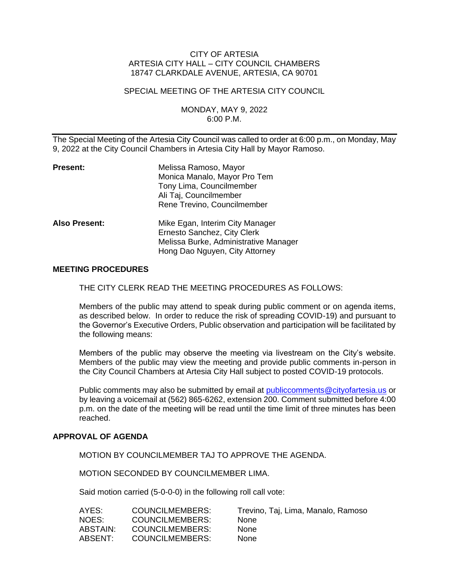## CITY OF ARTESIA ARTESIA CITY HALL – CITY COUNCIL CHAMBERS 18747 CLARKDALE AVENUE, ARTESIA, CA 90701

#### SPECIAL MEETING OF THE ARTESIA CITY COUNCIL

## MONDAY, MAY 9, 2022 6:00 P.M.

The Special Meeting of the Artesia City Council was called to order at 6:00 p.m., on Monday, May 9, 2022 at the City Council Chambers in Artesia City Hall by Mayor Ramoso.

| Present:      | Melissa Ramoso, Mayor<br>Monica Manalo, Mayor Pro Tem<br>Tony Lima, Councilmember<br>Ali Taj, Councilmember<br>Rene Trevino, Councilmember |
|---------------|--------------------------------------------------------------------------------------------------------------------------------------------|
| Also Present: | Mike Egan, Interim City Manager<br>Ernesto Sanchez, City Clerk<br>Melissa Burke, Administrative Manager<br>Hong Dao Nguyen, City Attorney  |

#### **MEETING PROCEDURES**

THE CITY CLERK READ THE MEETING PROCEDURES AS FOLLOWS:

Members of the public may attend to speak during public comment or on agenda items, as described below. In order to reduce the risk of spreading COVID-19) and pursuant to the Governor's Executive Orders, Public observation and participation will be facilitated by the following means:

Members of the public may observe the meeting via livestream on the City's website. Members of the public may view the meeting and provide public comments in-person in the City Council Chambers at Artesia City Hall subject to posted COVID-19 protocols.

Public comments may also be submitted by email at [publiccomments@cityofartesia.us](mailto:publiccomments@cityofartesia.us) or by leaving a voicemail at (562) 865-6262, extension 200. Comment submitted before 4:00 p.m. on the date of the meeting will be read until the time limit of three minutes has been reached.

#### **APPROVAL OF AGENDA**

MOTION BY COUNCILMEMBER TAJ TO APPROVE THE AGENDA.

MOTION SECONDED BY COUNCILMEMBER LIMA.

Said motion carried (5-0-0-0) in the following roll call vote:

| AYES:    | COUNCILMEMBERS: | Trevino, Taj, Lima, Manalo, Ramoso |
|----------|-----------------|------------------------------------|
| NOES:    | COUNCILMEMBERS: | <b>None</b>                        |
| ABSTAIN: | COUNCILMEMBERS: | <b>None</b>                        |
| ABSENT:  | COUNCILMEMBERS: | <b>None</b>                        |